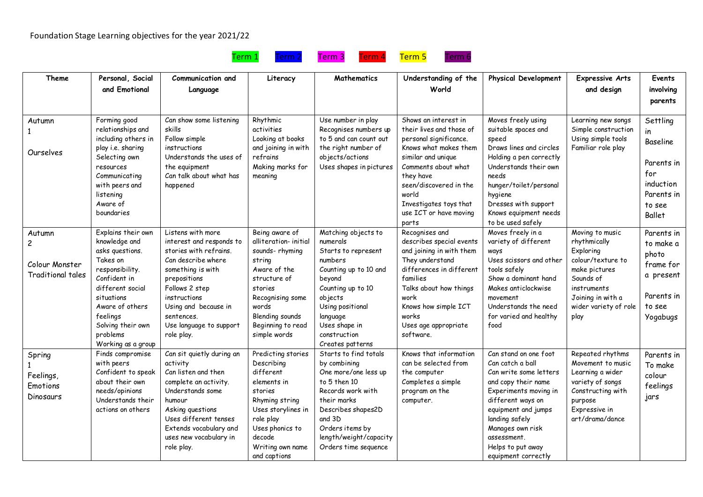## Foundation Stage Learning objectives for the year 2021/22

1

**Theme Personal, Social and Emotional Communication and Language Literacy Mathematics Understanding of the World Physical Development Expressive Arts**  Autumn Ourselves Forming good relationships and including others in play i.e. sharing Selecting own resources Communicating with peers and listening Aware of boundaries Can show some listening skills Follow simple instructions Understands the uses of the equipment Can talk about what has happened Rhythmic activities Looking at books and joining in with refrains Making marks for meaning Use number in play Recognises numbers up to 5 and can count out the right number of objects/actions Uses shapes in pictures Shows an interest in their lives and those of personal significance. Knows what makes them similar and unique Comments about what they have seen/discovered in the world Investigates toys that use ICT or have moving parts Moves freely using suitable spaces and speed Draws lines and circles Holding a pen correctly Understands their own needs hunger/toilet/personal hygiene Dresses with support Knows equipment needs to be used safely Learning new songs Simple construction Using simple tools Familiar role play Explains their own knowledge and asks questions. Takes on responsibility. Confident in different social situations Aware of others feelings Listens with more interest and responds to stories with refrains. Can describe where something is with prepositions Follows 2 step instructions Using and because in sentences. Being aware of alliteration- initial sounds- rhyming string Aware of the structure of stories Recognising some words Blending sounds Matching objects to numerals Starts to represent numbers Counting up to 10 and beyond Counting up to 10 objects Using positional language Recognises and describes special events and joining in with them They understand differences in different families Talks about how things work Knows how simple ICT works Moves freely in a variety of different ways Uses scissors and other tools safely Show a dominant hand Makes anticlockwise movement Understands the need for varied and healthy

and captions

Parents in for induction Parents in to see Ballet Autumn 2 Colour Monster Traditional tales Solving their own problems Working as a group Use language to support role play. Beginning to read simple words Uses shape in construction Creates patterns Uses age appropriate software. food Moving to music rhythmically **Exploring** colour/texture to make pictures Sounds of instruments Joining in with a wider variety of role play Parents in to make a photo frame for a present Parents in to see Yogabugs Spring 1 **Feelings Emotions Dinosaurs** Finds compromise with peers Confident to speak about their own needs/opinions Understands their actions on others Can sit quietly during an activity Can listen and then complete an activity. Understands some humour Asking questions Uses different tenses Extends vocabulary and uses new vocabulary in role play. Predicting stories Describing different elements in stories Rhyming string Uses storylines in role play Uses phonics to decode Writing own name Starts to find totals by combining One more/one less up to 5 then 10 Records work with their marks Describes shapes2D and 3D Orders items by length/weight/capacity Orders time sequence Knows that information can be selected from the computer Completes a simple program on the computer. Can stand on one foot Can catch a ball Can write some letters and copy their name Experiments moving in different ways on equipment and jumps landing safely Manages own risk assessment. Helps to put away Repeated rhythms Movement to music Learning a wider variety of songs Constructing with purpose Expressive in art/drama/dance Parents in To make colour feelings jars



equipment correctly

**and design**

**Events involving parents**

Settling in Baseline